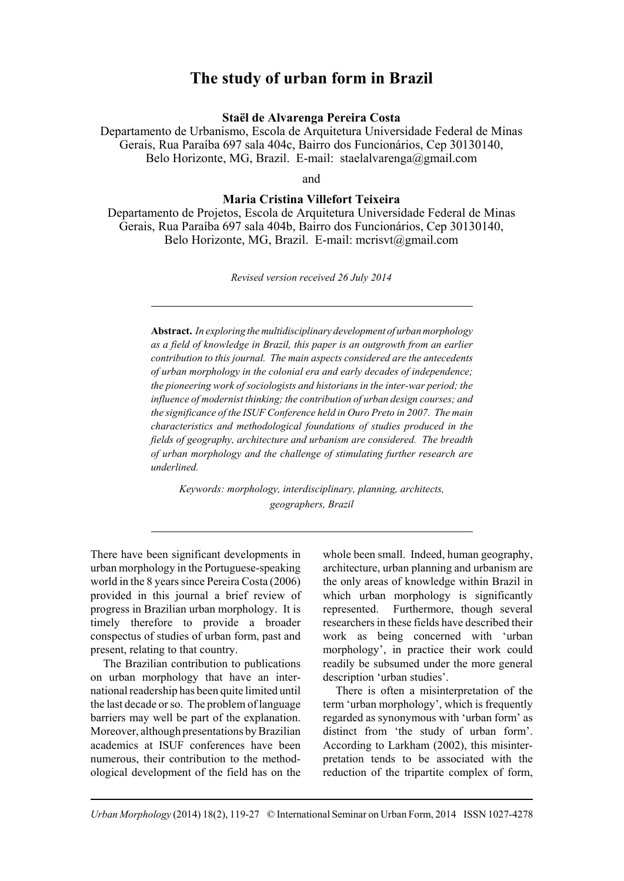# **The study of urban form in Brazil**

**Staël de Alvarenga Pereira Costa**

Departamento de Urbanismo, Escola de Arquitetura Universidade Federal de Minas Gerais, Rua Paraíba 697 sala 404c, Bairro dos Funcionários, Cep 30130140, Belo Horizonte, MG, Brazil. E-mail: staelalvarenga@gmail.com

and

### **Maria Cristina Villefort Teixeira**

Departamento de Projetos, Escola de Arquitetura Universidade Federal de Minas Gerais, Rua Paraíba 697 sala 404b, Bairro dos Funcionários, Cep 30130140, Belo Horizonte, MG, Brazil. E-mail: mcrisvt@gmail.com

*Revised version received 26 July 2014*

**Abstract.** *In exploring the multidisciplinary development of urban morphology as a field of knowledge in Brazil, this paper is an outgrowth from an earlier contribution to this journal. The main aspects considered are the antecedents of urban morphology in the colonial era and early decades of independence; the pioneering work of sociologists and historians in the inter-war period; the influence of modernist thinking; the contribution of urban design courses; and the significance of the ISUF Conference held in Ouro Preto in 2007. The main characteristics and methodological foundations of studies produced in the fields of geography, architecture and urbanism are considered. The breadth of urban morphology and the challenge of stimulating further research are underlined.* 

*Keywords: morphology, interdisciplinary, planning, architects, geographers, Brazil*

There have been significant developments in urban morphology in the Portuguese-speaking world in the 8 years since Pereira Costa (2006) provided in this journal a brief review of progress in Brazilian urban morphology. It is timely therefore to provide a broader conspectus of studies of urban form, past and present, relating to that country.

The Brazilian contribution to publications on urban morphology that have an international readership has been quite limited until the last decade or so. The problem of language barriers may well be part of the explanation. Moreover, although presentations by Brazilian academics at ISUF conferences have been numerous, their contribution to the methodological development of the field has on the

whole been small. Indeed, human geography, architecture, urban planning and urbanism are the only areas of knowledge within Brazil in which urban morphology is significantly represented. Furthermore, though several researchers in these fields have described their work as being concerned with 'urban morphology', in practice their work could readily be subsumed under the more general description 'urban studies'.

There is often a misinterpretation of the term 'urban morphology', which is frequently regarded as synonymous with 'urban form' as distinct from 'the study of urban form'. According to Larkham (2002), this misinterpretation tends to be associated with the reduction of the tripartite complex of form,

*Urban Morphology* (2014) 18(2), 119-27 © International Seminar on Urban Form, 2014 ISSN 1027-4278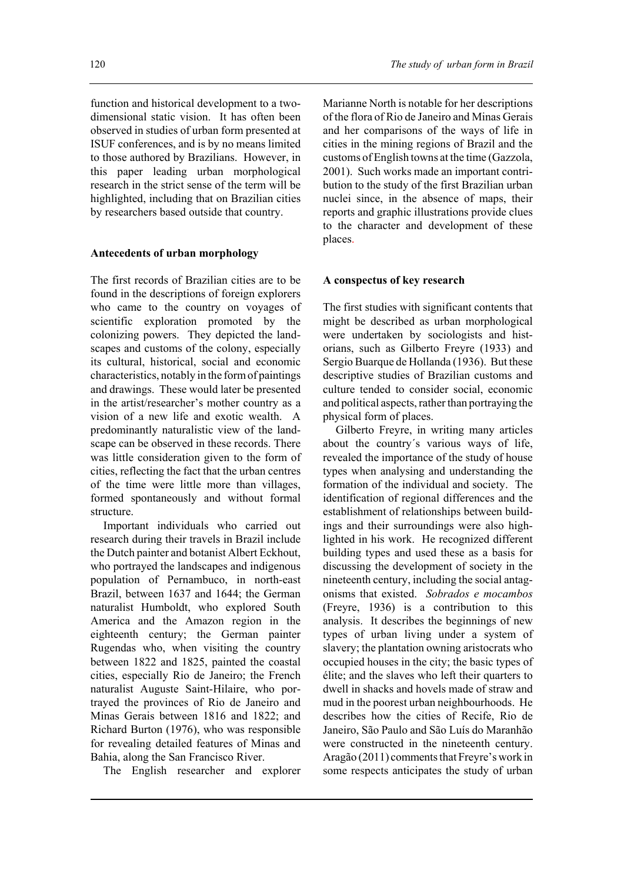function and historical development to a twodimensional static vision. It has often been observed in studies of urban form presented at ISUF conferences, and is by no means limited to those authored by Brazilians. However, in this paper leading urban morphological research in the strict sense of the term will be highlighted, including that on Brazilian cities by researchers based outside that country.

## **Antecedents of urban morphology**

The first records of Brazilian cities are to be found in the descriptions of foreign explorers who came to the country on voyages of scientific exploration promoted by the colonizing powers. They depicted the landscapes and customs of the colony, especially its cultural, historical, social and economic characteristics, notably in the form of paintings and drawings. These would later be presented in the artist/researcher's mother country as a vision of a new life and exotic wealth. A predominantly naturalistic view of the landscape can be observed in these records. There was little consideration given to the form of cities, reflecting the fact that the urban centres of the time were little more than villages, formed spontaneously and without formal structure.

Important individuals who carried out research during their travels in Brazil include the Dutch painter and botanist Albert Eckhout, who portrayed the landscapes and indigenous population of Pernambuco, in north-east Brazil, between 1637 and 1644; the German naturalist Humboldt, who explored South America and the Amazon region in the eighteenth century; the German painter Rugendas who, when visiting the country between 1822 and 1825, painted the coastal cities, especially Rio de Janeiro; the French naturalist Auguste Saint-Hilaire, who portrayed the provinces of Rio de Janeiro and Minas Gerais between 1816 and 1822; and Richard Burton (1976), who was responsible for revealing detailed features of Minas and Bahia, along the San Francisco River.

The English researcher and explorer

Marianne North is notable for her descriptions of the flora of Rio de Janeiro and Minas Gerais and her comparisons of the ways of life in cities in the mining regions of Brazil and the customs of English towns at the time (Gazzola, 2001). Such works made an important contribution to the study of the first Brazilian urban nuclei since, in the absence of maps, their reports and graphic illustrations provide clues to the character and development of these places.

#### **A conspectus of key research**

The first studies with significant contents that might be described as urban morphological were undertaken by sociologists and historians, such as Gilberto Freyre (1933) and Sergio Buarque de Hollanda (1936). But these descriptive studies of Brazilian customs and culture tended to consider social, economic and political aspects, rather than portraying the physical form of places.

Gilberto Freyre, in writing many articles about the country´s various ways of life, revealed the importance of the study of house types when analysing and understanding the formation of the individual and society. The identification of regional differences and the establishment of relationships between buildings and their surroundings were also highlighted in his work. He recognized different building types and used these as a basis for discussing the development of society in the nineteenth century, including the social antagonisms that existed. *Sobrados e mocambos* (Freyre, 1936) is a contribution to this analysis. It describes the beginnings of new types of urban living under a system of slavery; the plantation owning aristocrats who occupied houses in the city; the basic types of élite; and the slaves who left their quarters to dwell in shacks and hovels made of straw and mud in the poorest urban neighbourhoods. He describes how the cities of Recife, Rio de Janeiro, São Paulo and São Luís do Maranhão were constructed in the nineteenth century. Aragão (2011) comments that Freyre's work in some respects anticipates the study of urban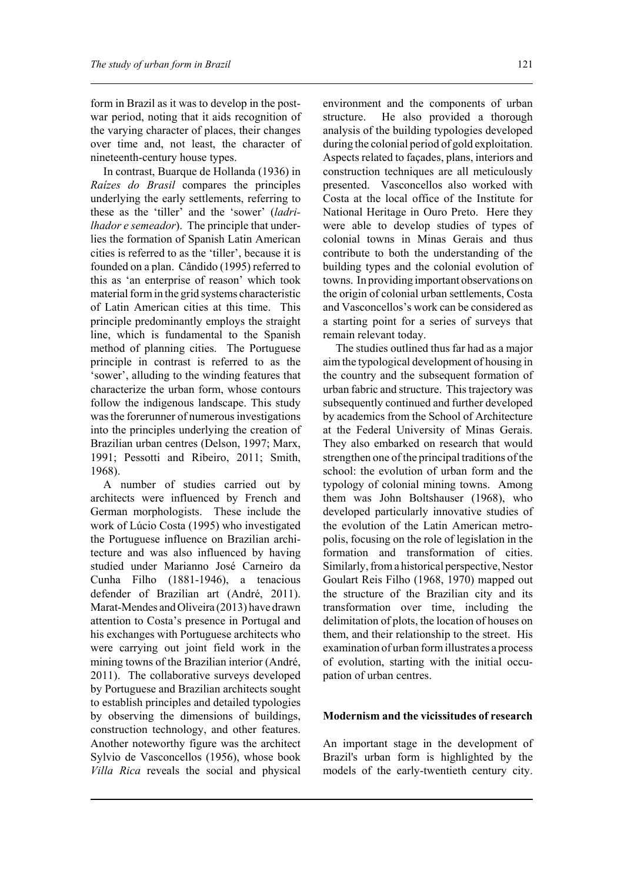form in Brazil as it was to develop in the postwar period, noting that it aids recognition of the varying character of places, their changes over time and, not least, the character of nineteenth-century house types.

In contrast, Buarque de Hollanda (1936) in *Raízes do Brasil* compares the principles underlying the early settlements, referring to these as the 'tiller' and the 'sower' (*ladrilhador e semeador*). The principle that underlies the formation of Spanish Latin American cities is referred to as the 'tiller', because it is founded on a plan. Cândido (1995) referred to this as 'an enterprise of reason' which took material form in the grid systems characteristic of Latin American cities at this time. This principle predominantly employs the straight line, which is fundamental to the Spanish method of planning cities. The Portuguese principle in contrast is referred to as the 'sower', alluding to the winding features that characterize the urban form, whose contours follow the indigenous landscape. This study was the forerunner of numerous investigations into the principles underlying the creation of Brazilian urban centres (Delson, 1997; Marx, 1991; Pessotti and Ribeiro, 2011; Smith, 1968).

A number of studies carried out by architects were influenced by French and German morphologists. These include the work of Lúcio Costa (1995) who investigated the Portuguese influence on Brazilian architecture and was also influenced by having studied under Marianno José Carneiro da Cunha Filho (1881-1946), a tenacious defender of Brazilian art (André, 2011). Marat-Mendes and Oliveira (2013) have drawn attention to Costa's presence in Portugal and his exchanges with Portuguese architects who were carrying out joint field work in the mining towns of the Brazilian interior (André, 2011). The collaborative surveys developed by Portuguese and Brazilian architects sought to establish principles and detailed typologies by observing the dimensions of buildings, construction technology, and other features. Another noteworthy figure was the architect Sylvio de Vasconcellos (1956), whose book *Villa Rica* reveals the social and physical environment and the components of urban structure. He also provided a thorough analysis of the building typologies developed during the colonial period of gold exploitation. Aspects related to façades, plans, interiors and construction techniques are all meticulously presented. Vasconcellos also worked with Costa at the local office of the Institute for National Heritage in Ouro Preto. Here they were able to develop studies of types of colonial towns in Minas Gerais and thus contribute to both the understanding of the building types and the colonial evolution of towns. In providing important observations on the origin of colonial urban settlements, Costa and Vasconcellos's work can be considered as a starting point for a series of surveys that remain relevant today.

The studies outlined thus far had as a major aim the typological development of housing in the country and the subsequent formation of urban fabric and structure. This trajectory was subsequently continued and further developed by academics from the School of Architecture at the Federal University of Minas Gerais. They also embarked on research that would strengthen one of the principal traditions of the school: the evolution of urban form and the typology of colonial mining towns. Among them was John Boltshauser (1968), who developed particularly innovative studies of the evolution of the Latin American metropolis, focusing on the role of legislation in the formation and transformation of cities. Similarly, from a historical perspective, Nestor Goulart Reis Filho (1968, 1970) mapped out the structure of the Brazilian city and its transformation over time, including the delimitation of plots, the location of houses on them, and their relationship to the street. His examination of urban form illustrates a process of evolution, starting with the initial occupation of urban centres.

#### **Modernism and the vicissitudes of research**

An important stage in the development of Brazil's urban form is highlighted by the models of the early-twentieth century city.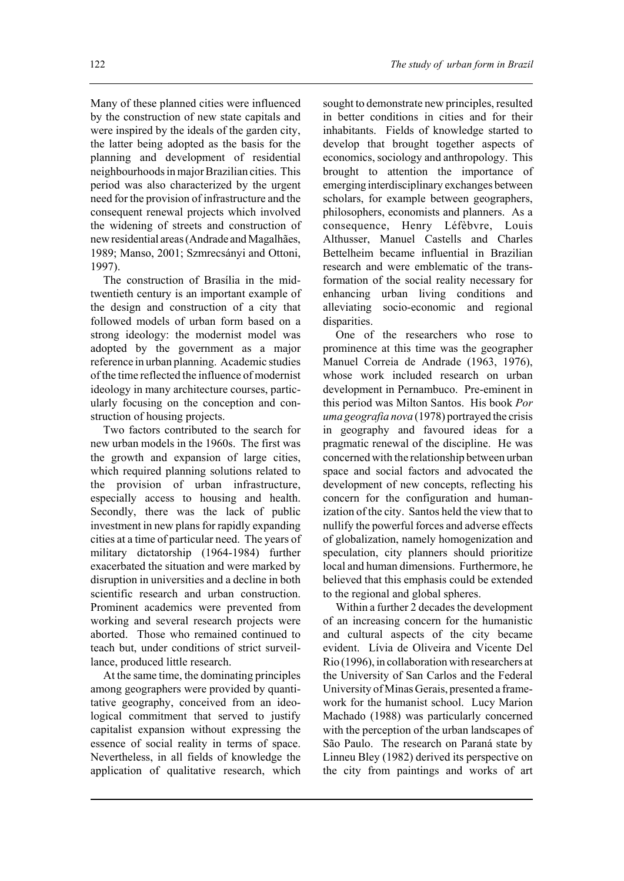Many of these planned cities were influenced by the construction of new state capitals and were inspired by the ideals of the garden city, the latter being adopted as the basis for the planning and development of residential neighbourhoods in major Brazilian cities. This period was also characterized by the urgent need for the provision of infrastructure and the consequent renewal projects which involved the widening of streets and construction of new residential areas (Andrade and Magalhães, 1989; Manso, 2001; Szmrecsányi and Ottoni, 1997).

The construction of Brasília in the midtwentieth century is an important example of the design and construction of a city that followed models of urban form based on a strong ideology: the modernist model was adopted by the government as a major reference in urban planning. Academic studies of the time reflected the influence of modernist ideology in many architecture courses, particularly focusing on the conception and construction of housing projects.

Two factors contributed to the search for new urban models in the 1960s. The first was the growth and expansion of large cities, which required planning solutions related to the provision of urban infrastructure, especially access to housing and health. Secondly, there was the lack of public investment in new plans for rapidly expanding cities at a time of particular need. The years of military dictatorship (1964-1984) further exacerbated the situation and were marked by disruption in universities and a decline in both scientific research and urban construction. Prominent academics were prevented from working and several research projects were aborted. Those who remained continued to teach but, under conditions of strict surveillance, produced little research.

At the same time, the dominating principles among geographers were provided by quantitative geography, conceived from an ideological commitment that served to justify capitalist expansion without expressing the essence of social reality in terms of space. Nevertheless, in all fields of knowledge the application of qualitative research, which sought to demonstrate new principles, resulted in better conditions in cities and for their inhabitants. Fields of knowledge started to develop that brought together aspects of economics, sociology and anthropology. This brought to attention the importance of emerging interdisciplinary exchanges between scholars, for example between geographers, philosophers, economists and planners. As a consequence, Henry Léfèbvre, Louis Althusser, Manuel Castells and Charles Bettelheim became influential in Brazilian research and were emblematic of the transformation of the social reality necessary for enhancing urban living conditions and alleviating socio-economic and regional disparities.

One of the researchers who rose to prominence at this time was the geographer Manuel Correia de Andrade (1963, 1976), whose work included research on urban development in Pernambuco. Pre-eminent in this period was Milton Santos. His book *Por uma geografia nova* (1978) portrayed the crisis in geography and favoured ideas for a pragmatic renewal of the discipline. He was concerned with the relationship between urban space and social factors and advocated the development of new concepts, reflecting his concern for the configuration and humanization of the city. Santos held the view that to nullify the powerful forces and adverse effects of globalization, namely homogenization and speculation, city planners should prioritize local and human dimensions. Furthermore, he believed that this emphasis could be extended to the regional and global spheres.

Within a further 2 decades the development of an increasing concern for the humanistic and cultural aspects of the city became evident. Lívia de Oliveira and Vicente Del Rio (1996), in collaboration with researchers at the University of San Carlos and the Federal University of Minas Gerais, presented a framework for the humanist school. Lucy Marion Machado (1988) was particularly concerned with the perception of the urban landscapes of São Paulo. The research on Paraná state by Linneu Bley (1982) derived its perspective on the city from paintings and works of art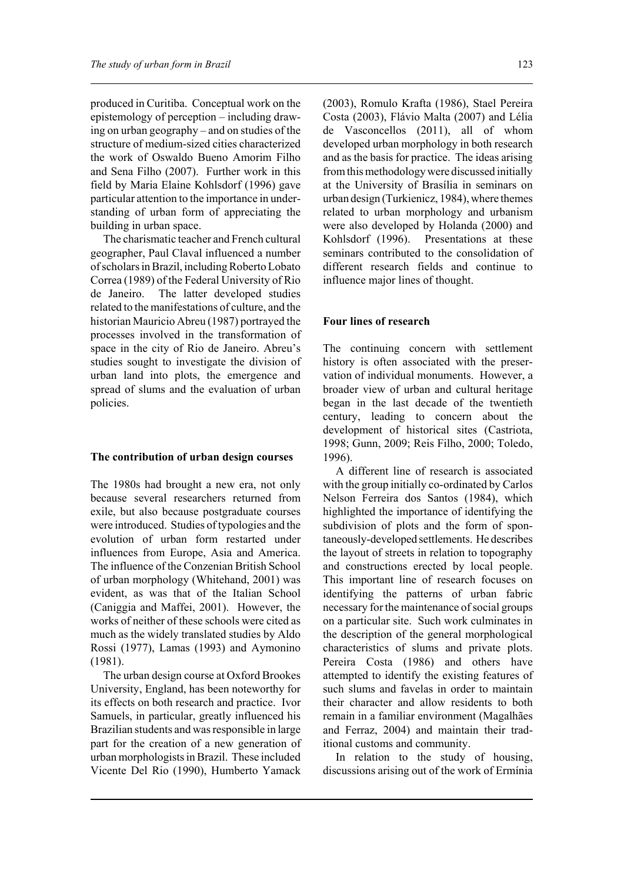produced in Curitiba. Conceptual work on the epistemology of perception – including drawing on urban geography – and on studies of the structure of medium-sized cities characterized the work of Oswaldo Bueno Amorim Filho and Sena Filho (2007). Further work in this field by Maria Elaine Kohlsdorf (1996) gave particular attention to the importance in understanding of urban form of appreciating the building in urban space.

The charismatic teacher and French cultural geographer, Paul Claval influenced a number of scholars in Brazil, including Roberto Lobato Correa (1989) of the Federal University of Rio de Janeiro. The latter developed studies related to the manifestations of culture, and the historian Mauricio Abreu (1987) portrayed the processes involved in the transformation of space in the city of Rio de Janeiro. Abreu's studies sought to investigate the division of urban land into plots, the emergence and spread of slums and the evaluation of urban policies.

#### **The contribution of urban design courses**

The 1980s had brought a new era, not only because several researchers returned from exile, but also because postgraduate courses were introduced. Studies of typologies and the evolution of urban form restarted under influences from Europe, Asia and America. The influence of the Conzenian British School of urban morphology (Whitehand, 2001) was evident, as was that of the Italian School (Caniggia and Maffei, 2001). However, the works of neither of these schools were cited as much as the widely translated studies by Aldo Rossi (1977), Lamas (1993) and Aymonino (1981).

The urban design course at Oxford Brookes University, England, has been noteworthy for its effects on both research and practice. Ivor Samuels, in particular, greatly influenced his Brazilian students and was responsible in large part for the creation of a new generation of urban morphologists in Brazil. These included Vicente Del Rio (1990), Humberto Yamack

(2003), Romulo Krafta (1986), Stael Pereira Costa (2003), Flávio Malta (2007) and Lélia de Vasconcellos (2011), all of whom developed urban morphology in both research and as the basis for practice. The ideas arising from this methodology were discussed initially at the University of Brasília in seminars on urban design (Turkienicz, 1984), where themes related to urban morphology and urbanism were also developed by Holanda (2000) and Kohlsdorf (1996). Presentations at these seminars contributed to the consolidation of different research fields and continue to influence major lines of thought.

#### **Four lines of research**

The continuing concern with settlement history is often associated with the preservation of individual monuments. However, a broader view of urban and cultural heritage began in the last decade of the twentieth century, leading to concern about the development of historical sites (Castriota, 1998; Gunn, 2009; Reis Filho, 2000; Toledo, 1996).

A different line of research is associated with the group initially co-ordinated by Carlos Nelson Ferreira dos Santos (1984), which highlighted the importance of identifying the subdivision of plots and the form of spontaneously-developed settlements. He describes the layout of streets in relation to topography and constructions erected by local people. This important line of research focuses on identifying the patterns of urban fabric necessary for the maintenance of social groups on a particular site. Such work culminates in the description of the general morphological characteristics of slums and private plots. Pereira Costa (1986) and others have attempted to identify the existing features of such slums and favelas in order to maintain their character and allow residents to both remain in a familiar environment (Magalhães and Ferraz, 2004) and maintain their traditional customs and community.

In relation to the study of housing, discussions arising out of the work of Ermínia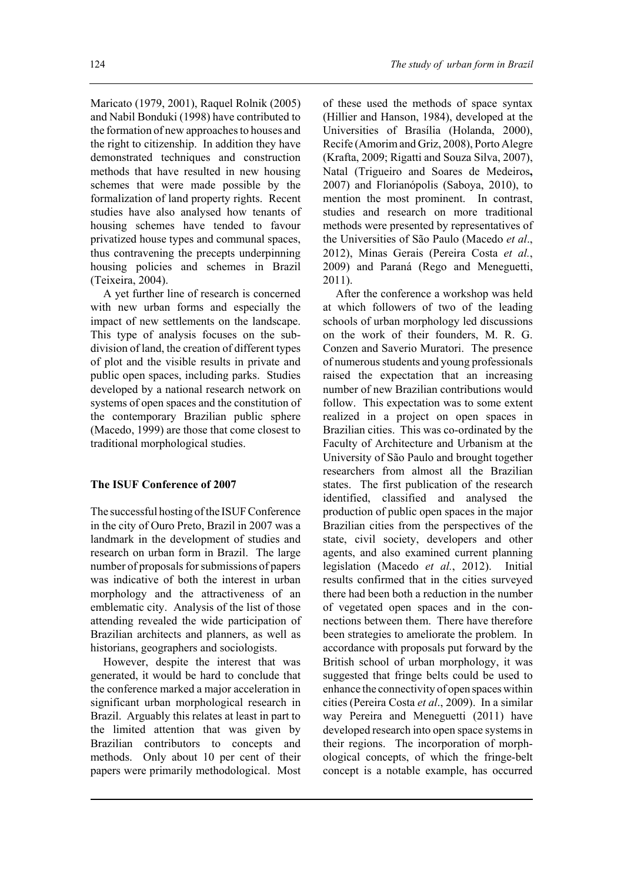Maricato (1979, 2001), Raquel Rolnik (2005) and Nabil Bonduki (1998) have contributed to the formation of new approaches to houses and the right to citizenship. In addition they have demonstrated techniques and construction methods that have resulted in new housing schemes that were made possible by the formalization of land property rights. Recent studies have also analysed how tenants of housing schemes have tended to favour privatized house types and communal spaces, thus contravening the precepts underpinning housing policies and schemes in Brazil (Teixeira, 2004).

A yet further line of research is concerned with new urban forms and especially the impact of new settlements on the landscape. This type of analysis focuses on the subdivision of land, the creation of different types of plot and the visible results in private and public open spaces, including parks. Studies developed by a national research network on systems of open spaces and the constitution of the contemporary Brazilian public sphere (Macedo, 1999) are those that come closest to traditional morphological studies.

# **The ISUF Conference of 2007**

The successful hosting of the ISUF Conference in the city of Ouro Preto, Brazil in 2007 was a landmark in the development of studies and research on urban form in Brazil. The large number of proposals for submissions of papers was indicative of both the interest in urban morphology and the attractiveness of an emblematic city. Analysis of the list of those attending revealed the wide participation of Brazilian architects and planners, as well as historians, geographers and sociologists.

However, despite the interest that was generated, it would be hard to conclude that the conference marked a major acceleration in significant urban morphological research in Brazil. Arguably this relates at least in part to the limited attention that was given by Brazilian contributors to concepts and methods. Only about 10 per cent of their papers were primarily methodological. Most

of these used the methods of space syntax (Hillier and Hanson, 1984), developed at the Universities of Brasília (Holanda, 2000), Recife (Amorim and Griz, 2008), Porto Alegre (Krafta, 2009; Rigatti and Souza Silva, 2007), Natal (Trigueiro and Soares de Medeiros**,** 2007) and Florianópolis (Saboya, 2010), to mention the most prominent. In contrast, studies and research on more traditional methods were presented by representatives of the Universities of São Paulo (Macedo *et al*., 2012), Minas Gerais (Pereira Costa *et al.*, 2009) and Paraná (Rego and Meneguetti, 2011).

After the conference a workshop was held at which followers of two of the leading schools of urban morphology led discussions on the work of their founders, M. R. G. Conzen and Saverio Muratori. The presence of numerous students and young professionals raised the expectation that an increasing number of new Brazilian contributions would follow. This expectation was to some extent realized in a project on open spaces in Brazilian cities. This was co-ordinated by the Faculty of Architecture and Urbanism at the University of São Paulo and brought together researchers from almost all the Brazilian states. The first publication of the research identified, classified and analysed the production of public open spaces in the major Brazilian cities from the perspectives of the state, civil society, developers and other agents, and also examined current planning legislation (Macedo *et al.*, 2012). Initial results confirmed that in the cities surveyed there had been both a reduction in the number of vegetated open spaces and in the connections between them. There have therefore been strategies to ameliorate the problem. In accordance with proposals put forward by the British school of urban morphology, it was suggested that fringe belts could be used to enhance the connectivity of open spaces within cities (Pereira Costa *et al*., 2009). In a similar way Pereira and Meneguetti (2011) have developed research into open space systems in their regions. The incorporation of morphological concepts, of which the fringe-belt concept is a notable example, has occurred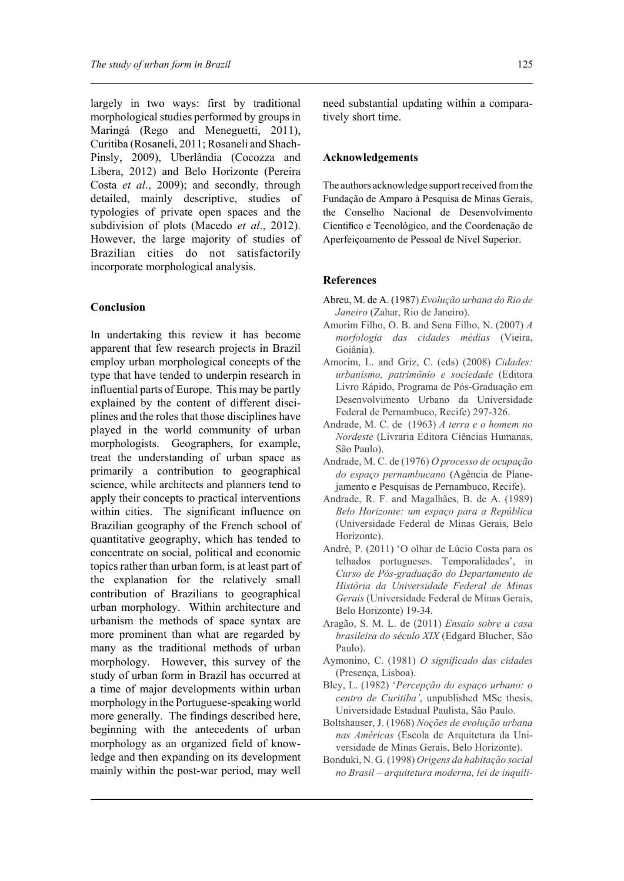largely in two ways: first by traditional morphological studies performed by groups in Maringá (Rego and Meneguetti, 2011), Curitiba (Rosaneli, 2011; Rosaneli and Shach-Pinsly, 2009), Uberlândia (Cocozza and Libera, 2012) and Belo Horizonte (Pereira Costa *et al*., 2009); and secondly, through detailed, mainly descriptive, studies of typologies of private open spaces and the subdivision of plots (Macedo *et al*., 2012). However, the large majority of studies of Brazilian cities do not satisfactorily incorporate morphological analysis.

#### **Conclusion**

In undertaking this review it has become apparent that few research projects in Brazil employ urban morphological concepts of the type that have tended to underpin research in influential parts of Europe. This may be partly explained by the content of different disciplines and the roles that those disciplines have played in the world community of urban morphologists. Geographers, for example, treat the understanding of urban space as primarily a contribution to geographical science, while architects and planners tend to apply their concepts to practical interventions within cities. The significant influence on Brazilian geography of the French school of quantitative geography, which has tended to concentrate on social, political and economic topics rather than urban form, is at least part of the explanation for the relatively small contribution of Brazilians to geographical urban morphology. Within architecture and urbanism the methods of space syntax are more prominent than what are regarded by many as the traditional methods of urban morphology. However, this survey of the study of urban form in Brazil has occurred at a time of major developments within urban morphology in the Portuguese-speaking world more generally. The findings described here, beginning with the antecedents of urban morphology as an organized field of knowledge and then expanding on its development mainly within the post-war period, may well

need substantial updating within a comparatively short time.

#### **Acknowledgements**

The authors acknowledge support received from the Fundação de Amparo à Pesquisa de Minas Gerais, the Conselho Nacional de Desenvolvimento Científico e Tecnológico, and the Coordenação de Aperfeiçoamento de Pessoal de Nível Superior.

#### **References**

- Abreu, M. de A. (1987) *Evolução urbana do Rio de Janeiro* (Zahar, Rio de Janeiro).
- Amorim Filho, O. B. and Sena Filho, N. (2007) *A morfologia das cidades médias* (Vieira, Goiânia).
- Amorim, L. and Griz, C. (eds) (2008) *Cidades: urbanismo, patrimônio e sociedade* (Editora Livro Rápido, Programa de Pós-Graduação em Desenvolvimento Urbano da Universidade Federal de Pernambuco, Recife) 297-326.
- Andrade, M. C. de (1963) *A terra e o homem no Nordeste* (Livraria Editora Ciências Humanas, São Paulo).
- Andrade, M. C. de (1976) *O processo de ocupação do espaço pernambucano* (Agência de Planejamento e Pesquisas de Pernambuco, Recife).
- Andrade, R. F. and Magalhães, B. de A. (1989) *Belo Horizonte: um espaço para a República* (Universidade Federal de Minas Gerais, Belo Horizonte).
- André, P. (2011) 'O olhar de Lúcio Costa para os telhados portugueses. Temporalidades', in *Curso de Pós-graduação do Departamento de História da Universidade Federal de Minas Gerais* (Universidade Federal de Minas Gerais, Belo Horizonte) 19-34.
- Aragão, S. M. L. de (2011) *Ensaio sobre a casa brasileira do século XIX* (Edgard Blucher, São Paulo).
- Aymonino, C. (1981) *O significado das cidades*  (Presença, Lisboa).
- Bley, L. (1982) '*Percepção do espaço urbano: o centro de Curitiba'*, unpublished MSc thesis, Universidade Estadual Paulista, São Paulo.
- Boltshauser, J. (1968) *Noções de evolução urbana nas Américas* (Escola de Arquitetura da Universidade de Minas Gerais, Belo Horizonte).
- Bonduki, N. G. (1998) *Origens da habitação social no Brasil – arquitetura moderna, lei de inquili-*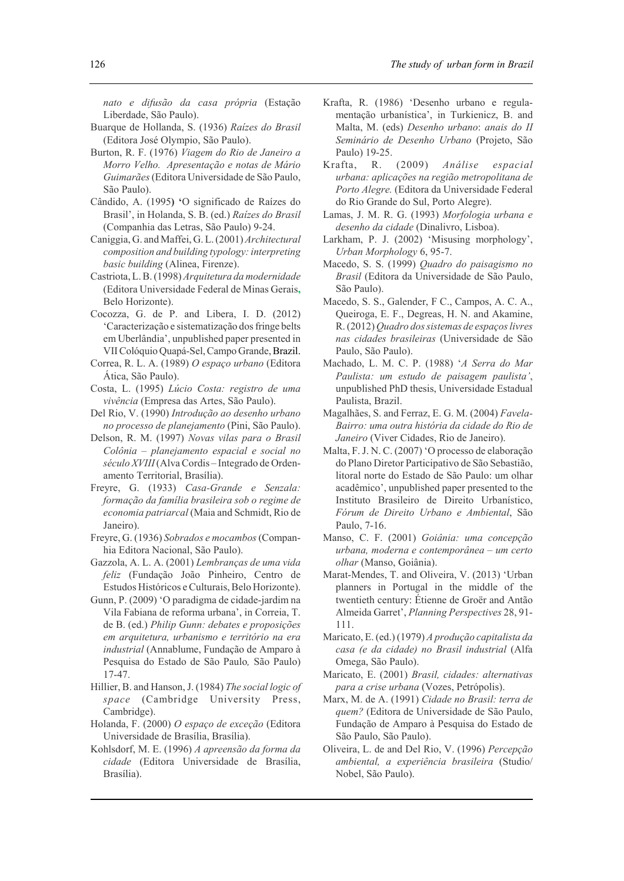*nato e difusão da casa própria* (Estação Liberdade, São Paulo).

- Buarque de Hollanda, S. (1936) *Raízes do Brasil* (Editora José Olympio, São Paulo).
- Burton, R. F. (1976) *Viagem do Rio de Janeiro a Morro Velho. Apresentação e notas de Mário Guimarães* (Editora Universidade de São Paulo, São Paulo).
- Cândido, A. (1995**) '**O significado de Raízes do Brasil', in Holanda, S. B. (ed.) *Raízes do Brasil* (Companhia das Letras, São Paulo) 9-24.
- Caniggia, G. and Maffei, G. L. (2001) *Architectural composition and building typology: interpreting basic building* (Alinea, Firenze).
- Castriota, L. B. (1998) *Arquitetura da modernidade* (Editora Universidade Federal de Minas Gerais**,** Belo Horizonte).
- Cocozza, G. de P. and Libera, I. D. (2012) 'Caracterização e sistematização dos fringe belts em Uberlândia', unpublished paper presented in VII Colóquio Quapá-Sel,Campo Grande, Brazil.
- Correa, R. L. A. (1989) *O espaço urbano* (Editora Ática, São Paulo).
- Costa, L. (1995) *Lúcio Costa: registro de uma vivência* (Empresa das Artes, São Paulo).
- Del Rio, V. (1990) *Introdução ao desenho urbano no processo de planejamento* (Pini, São Paulo).
- Delson, R. M. (1997) *Novas vilas para o Brasil Colônia – planejamento espacial e social no século XVIII* (Alva Cordis – Integrado de Ordenamento Territorial, Brasília).
- Freyre, G. (1933) *Casa-Grande e Senzala: formação da família brasileira sob o regime de economia patriarcal* (Maia and Schmidt, Rio de Janeiro).
- Freyre, G. (1936) *Sobrados e mocambos* (Companhia Editora Nacional, São Paulo).
- Gazzola, A. L. A. (2001) *Lembranças de uma vida feliz* (Fundação João Pinheiro, Centro de Estudos Históricos e Culturais, Belo Horizonte).
- Gunn, P. (2009) 'O paradigma de cidade-jardim na Vila Fabiana de reforma urbana', in Correia, T. de B. (ed.) *Philip Gunn: debates e proposições em arquitetura, urbanismo e território na era industrial* (Annablume, Fundação de Amparo à Pesquisa do Estado de São Paulo*,* São Paulo) 17-47.
- Hillier, B. and Hanson, J. (1984) *The social logic of space* (Cambridge University Press, Cambridge).
- Holanda, F. (2000) *O espaço de exceção* (Editora Universidade de Brasília, Brasília).
- Kohlsdorf, M. E. (1996) *A apreensão da forma da cidade* (Editora Universidade de Brasília, Brasília).
- Krafta, R. (1986) 'Desenho urbano e regulamentação urbanística', in Turkienicz, B. and Malta, M. (eds) *Desenho urbano*: *anais do II Seminário de Desenho Urbano* (Projeto, São Paulo) 19-25.
- Krafta, R. (2009) *Análise espacial urbana: aplicações na região metropolitana de Porto Alegre.* (Editora da Universidade Federal do Rio Grande do Sul, Porto Alegre).
- Lamas, J. M. R. G. (1993) *Morfologia urbana e desenho da cidade* (Dinalivro, Lisboa).
- Larkham, P. J. (2002) 'Misusing morphology', *Urban Morphology* 6, 95-7.
- Macedo, S. S. (1999) *Quadro do paisagismo no Brasil* (Editora da Universidade de São Paulo, São Paulo).
- Macedo, S. S., Galender, F C., Campos, A. C. A., Queiroga, E. F., Degreas, H. N. and Akamine, R. (2012) *Quadro dos sistemas de espaços livres nas cidades brasileiras* (Universidade de São Paulo, São Paulo).
- Machado, L. M. C. P. (1988) '*A Serra do Mar Paulista: um estudo de paisagem paulista'*, unpublished PhD thesis, Universidade Estadual Paulista, Brazil.
- Magalhães, S. and Ferraz, E. G. M. (2004) *Favela-Bairro: uma outra história da cidade do Rio de Janeiro* (Viver Cidades, Rio de Janeiro).
- Malta, F. J. N. C. (2007) 'O processo de elaboração do Plano Diretor Participativo de São Sebastião, litoral norte do Estado de São Paulo: um olhar acadêmico', unpublished paper presented to the Instituto Brasileiro de Direito Urbanístico, *Fórum de Direito Urbano e Ambiental*, São Paulo, 7-16.
- Manso, C. F. (2001) *Goiânia: uma concepção urbana, moderna e contemporânea – um certo olhar* (Manso, Goiânia).
- Marat-Mendes, T. and Oliveira, V. (2013) 'Urban planners in Portugal in the middle of the twentieth century: Étienne de Groër and Antão Almeida Garret', *Planning Perspectives* 28, 91- 111.
- Maricato, E. (ed.) (1979) *A produção capitalista da casa (e da cidade) no Brasil industrial* (Alfa Omega, São Paulo).
- Maricato, E. (2001) *Brasil, cidades: alternativas para a crise urbana* (Vozes, Petrópolis).
- Marx, M. de A. (1991) *Cidade no Brasil: terra de quem?* (Editora de Universidade de São Paulo, Fundação de Amparo à Pesquisa do Estado de São Paulo, São Paulo).
- Oliveira, L. de and Del Rio, V. (1996) *Percepção ambiental, a experiência brasileira* (Studio/ Nobel, São Paulo).